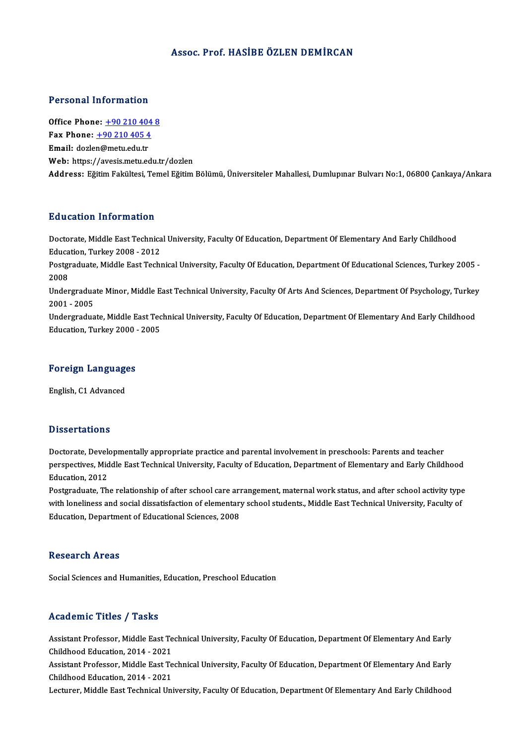## Assoc. Prof.HASİBE ÖZLEN DEMİRCAN

## Personal Information

Personal Information<br>Office Phone: <u>+90 210 404 8</u><br>Fax Phone: 190 210 405 4 office Phone: <u>+90 210 404</u><br>Fax Phone: <u>+90 210 405 4</u><br>Fmail: deglen@metu.edu.tr Office Phone: <u>+90 210 404</u><br>Fax Phone: <u>+90 210 405 4</u><br>Email: dozle[n@metu.edu.tr](tel:+90 210 405 4) Fax Phone:  $\pm 90\ 210\ 405\ 4$ <br>Email: dozlen@metu.edu.tr<br>Web: https://avesis.metu.edu.tr/dozlen Address: Eğitim Fakültesi, Temel Eğitim Bölümü, Üniversiteler Mahallesi, Dumlupınar Bulvarı No:1,06800 Çankaya/Ankara

## Education Information

**Education Information**<br>Doctorate, Middle East Technical University, Faculty Of Education, Department Of Elementary And Early Childhood<br>Education, Turkey 2008 - 2012 Education, Information<br>Doctorate, Middle East Technica<br>Education, Turkey 2008 - 2012<br>Postsreducte, Middle East Techn Doctorate, Middle East Technical University, Faculty Of Education, Department Of Elementary And Early Childhood<br>Education, Turkey 2008 - 2012<br>Postgraduate, Middle East Technical University, Faculty Of Education, Department Educa<br>Postgi<br>2008<br>Under Postgraduate, Middle East Technical University, Faculty Of Education, Department Of Educational Sciences, Turkey 2005 -<br>2008<br>Undergraduate Minor, Middle East Technical University, Faculty Of Arts And Sciences, Department O 2008<br>Undergradua<br>2001 - 2005<br>Undergradua Undergraduate Minor, Middle East Technical University, Faculty Of Arts And Sciences, Department Of Psychology, Turkey<br>2001 - 2005<br>Undergraduate, Middle East Technical University, Faculty Of Education, Department Of Element 2001 - 2005<br>Undergraduate, Middle East Technical University, Faculty Of Education, Department Of Elementary And Early Childhood<br>Education, Turkey 2000 - 2005 education, Turkey 2000 -<br>Foreign Languages

# <mark>Foreign Language</mark><br>English, C1 Advanced

English, C1 Advanced<br>Dissertations

Dissertations<br>Doctorate, Developmentally appropriate practice and parental involvement in preschools: Parents and teacher<br>Perspectives, Middle Fest Technical University, Fesulty of Education, Department of Flamentary and F perspect cations<br>Doctorate, Developmentally appropriate practice and parental involvement in preschools: Parents and teacher<br>Pelugation, 2012 Doctorate, Devele<br>perspectives, Mid<br>Education, 2012<br>Postareduate, Th perspectives, Middle East Technical University, Faculty of Education, Department of Elementary and Early Childhood<br>Education, 2012<br>Postgraduate, The relationship of after school care arrangement, maternal work status, and

Education, 2012<br>Postgraduate, The relationship of after school care arrangement, maternal work status, and after school activity type<br>with loneliness and social dissatisfaction of elementary school students., Middle East T Education, Department of Educational Sciences, 2008

## **Research Areas**

Social Sciences and Humanities, Education, Preschool Education

## Academic Titles / Tasks

Assistant Professor, Middle East Technical University, Faculty Of Education, Department Of Elementary And Early Childhood Education, 2014 - 2021 Assistant Professor, Middle East Technical University, Faculty Of Education, Department Of Elementary And Early<br>Childhood Education, 2014 - 2021<br>Assistant Professor, Middle East Technical University, Faculty Of Education,

Childhood Education, 2014 - 2021<br>Assistant Professor, Middle East Te<br>Childhood Education, 2014 - 2021<br>Lesturer, Middle Fest Teshnisel Uni

Childhood Education, 2014 - 2021<br>Lecturer, Middle East Technical University, Faculty Of Education, Department Of Elementary And Early Childhood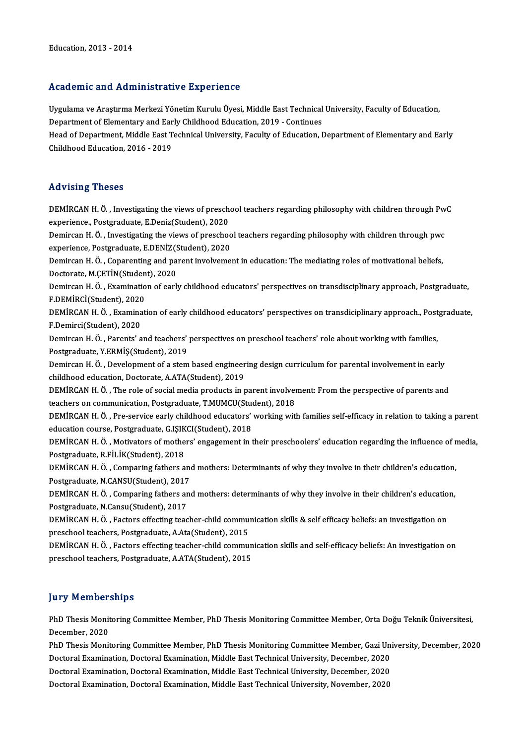## Academic and Administrative Experience

Academic and Administrative Experience<br>Uygulama ve Araştırma Merkezi Yönetim Kurulu Üyesi, Middle East Technical University, Faculty of Education,<br>Penartment of Elementary and Farly Childbood Education, 2019, Continues nodu onne unu nummerentary o Enportonee<br>Uygulama ve Araştırma Merkezi Yönetim Kurulu Üyesi, Middle East Technical<br>Department of Elementary and Early Childhood Education, 2019 - Continues<br>Hood of Department, Middle East Tec Department of Elementary and Early Childhood Education, 2019 - Continues

Head of Department, Middle East Technical University, Faculty of Education, Department of Elementary and Early<br>Childhood Education, 2016 - 2019

## Advising Theses

Advising Theses<br>DEMİRCAN H. Ö. , Investigating the views of preschool teachers regarding philosophy with children through PwC<br>Sinoriance, Restanduate E Donig(Student), 2020 experience., Postgraduate, E.Deniz(Student), 2020<br>experience., Postgraduate, E.Deniz(Student), 2020<br>Deminson H. Ö., Investigating the views of presshee DEMİRCAN H. Ö. , Investigating the views of preschool teachers regarding philosophy with children through Pw<br>experience., Postgraduate, E.Deniz(Student), 2020<br>Demircan H. Ö. , Investigating the views of preschool teachers

experience., Postgraduate, E.Deniz(Student), 2020<br>Demircan H. Ö. , Investigating the views of preschoo<br>experience, Postgraduate, E.DENİZ(Student), 2020<br>Demirsan H. Ö., Concrenting and napont invelveme Demircan H. Ö. , Investigating the views of preschool teachers regarding philosophy with children through pwc<br>experience, Postgraduate, E.DENİZ(Student), 2020<br>Demircan H. Ö. , Coparenting and parent involvement in educatio

experience, Postgraduate, E.DENİZ(Student), 2020<br>Demircan H. Ö. , Coparenting and parent involvement in education: The mediating roles of motivational beliefs,<br>Doctorate, M.ÇETİN(Student), 2020 Demircan H. Ö. , Coparenting and parent involvement in education: The mediating roles of motivational beliefs,<br>Doctorate, M.ÇETİN(Student), 2020<br>Demircan H. Ö. , Examination of early childhood educators' perspectives on tr

Doctorate, M.ÇETİN(Studen<br>Demircan H. Ö. , Examinatio<br>F.DEMİRCİ(Student), 2020<br>DEMİRCAN H. Ö. , Examinat Demircan H. Ö. , Examination of early childhood educators' perspectives on transdisciplinary approach, Postgraduate,<br>F.DEMİRCİ(Student), 2020<br>DEMİRCAN H. Ö. , Examination of early childhood educators' perspectives on trans

F.DEMİRCİ(Student), 2020<br>DEMİRCAN H. Ö. , Examina<br>F.Demirci(Student), 2020<br>Demircan H. Ö. , Barenta' a DEMİRCAN H. Ö. , Examination of early childhood educators' perspectives on transdiciplinary approach., Post<br>F.Demirci(Student), 2020<br>Demircan H. Ö. , Parents' and teachers' perspectives on preschool teachers' role about wo

F.Demirci(Student), 2020<br>Demircan H. Ö. , Parents' and teachers'<br>Postgraduate, Y.ERMİŞ(Student), 2019<br>Demircan H. Ö., Develenment of a stem Demircan H. Ö. , Parents' and teachers' perspectives on preschool teachers' role about working with families,<br>Postgraduate, Y.ERMİŞ(Student), 2019<br>Demircan H. Ö. , Development of a stem based engineering design curriculum

Postgraduate, Y.ERMİŞ(Student), 2019<br>Demircan H. Ö. , Development of a stem based engineering design curriculum for parental involvement in early<br>childhood education, Doctorate, A.ATA(Student), 2019 Demircan H. Ö. , Development of a stem based engineering design curriculum for parental involvement in early<br>childhood education, Doctorate, A.ATA(Student), 2019<br>DEMİRCAN H. Ö. , The role of social media products in parent

childhood education, Doctorate, A.ATA(Student), 2019<br>DEMİRCAN H. Ö. , The role of social media products in parent involver<br>teachers on communication, Postgraduate, T.MUMCU(Student), 2018<br>DEMİRCAN H. Ö. , Pre servise sarkı DEMİRCAN H. Ö. , The role of social media products in parent involvement: From the perspective of parents and<br>teachers on communication, Postgraduate, T.MUMCU(Student), 2018<br>DEMİRCAN H. Ö. , Pre-service early childhood edu

teachers on communication, Postgraduate, T.MUMCU(Student)<br>DEMİRCAN H. Ö. , Pre-service early childhood educators'<br>education course, Postgraduate, G.IŞIKCI(Student), 2018<br>DEMİRCAN H. Ö. , Metivators of mothors' ongagament i DEMİRCAN H. Ö. , Pre-service early childhood educators' working with families self-efficacy in relation to taking a parent<br>education course, Postgraduate, G.IŞIKCI(Student), 2018<br>DEMİRCAN H. Ö. , Motivators of mothers' eng

education course, Postgraduate, G.IŞIK<br>DEMİRCAN H. Ö. , Motivators of mothe<br>Postgraduate, R.FİLİK(Student), 2018<br>DEMİRCAN H. Ö. , Comparing fatbors e DEMİRCAN H. Ö. , Motivators of mothers' engagement in their preschoolers' education regarding the influence of r<br>Postgraduate, R.FİLİK(Student), 2018<br>DEMİRCAN H. Ö. , Comparing fathers and mothers: Determinants of why they

Postgraduate, R.FİLİK(Student), 2018<br>DEMİRCAN H. Ö. , Comparing fathers ane<br>Postgraduate, N.CANSU(Student), 2017<br>DEMİRCAN H. Ö. Comparing fathers an DEMİRCAN H. Ö. , Comparing fathers and mothers: Determinants of why they involve in their children's education,<br>Postgraduate, N.CANSU(Student), 2017<br>DEMİRCAN H. Ö. , Comparing fathers and mothers: determinants of why they

Postgraduate, N.CANSU(Student), 2017<br>DEMİRCAN H. Ö. , Comparing fathers and mothers: determinants of why they involve in their children's education,<br>Postgraduate, N.Cansu(Student), 2017 DEMİRCAN H. Ö. , Comparing fathers and mothers: determinants of why they involve in their children's educatio<br>Postgraduate, N.Cansu(Student), 2017<br>DEMİRCAN H. Ö. , Factors effecting teacher-child communication skills & sel

Postgraduate, N.Cansu(Student), 2017<br>DEMİRCAN H. Ö. , Factors effecting teacher-child commu:<br>preschool teachers, Postgraduate, A.Ata(Student), 2015<br>DEMİRCAN H. Ö. , Factors effecting teacher child commu: DEMİRCAN H. Ö. , Factors effecting teacher-child communication skills & self efficacy beliefs: an investigation on<br>preschool teachers, Postgraduate, A.Ata(Student), 2015<br>DEMİRCAN H. Ö. , Factors effecting teacher-child com

preschool teachers, Postgraduate, A.Ata(Student), 2015<br>DEMİRCAN H. Ö. , Factors effecting teacher-child commun<br>preschool teachers, Postgraduate, A.ATA(Student), 2015 preschool teachers, Postgraduate, A.ATA(Student), 2015<br>Jury Memberships

Jury Memberships<br>PhD Thesis Monitoring Committee Member, PhD Thesis Monitoring Committee Member, Orta Doğu Teknik Üniversitesi,<br>Desambar 2020 PhD Thesis Monit<br>December, 2020<br>PhD Thesis Monit PhD Thesis Monitoring Committee Member, PhD Thesis Monitoring Committee Member, Orta Doğu Teknik Üniversitesi,<br>December, 2020<br>PhD Thesis Monitoring Committee Member, PhD Thesis Monitoring Committee Member, Gazi University,

December, 2020<br>PhD Thesis Monitoring Committee Member, PhD Thesis Monitoring Committee Member, Gazi Uni<br>Doctoral Examination, Doctoral Examination, Middle East Technical University, December, 2020<br>Doctoral Examination, Doc PhD Thesis Monitoring Committee Member, PhD Thesis Monitoring Committee Member, Gazi Uni<br>Doctoral Examination, Doctoral Examination, Middle East Technical University, December, 2020<br>Doctoral Examination, Doctoral Examinati Doctoral Examination, Doctoral Examination, Middle East Technical University, December, 2020<br>Doctoral Examination, Doctoral Examination, Middle East Technical University, December, 2020<br>Doctoral Examination, Doctoral Exami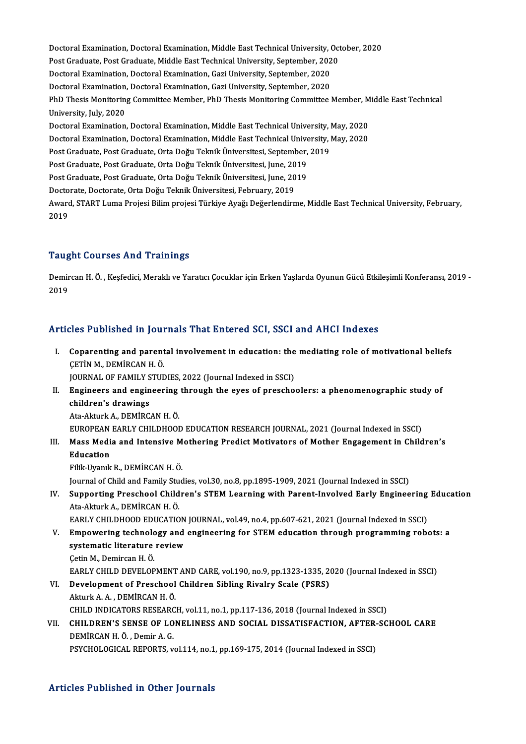Doctoral Examination, Doctoral Examination, Middle East Technical University, October, 2020<br>Pest Craduate, Pest Craduate, Middle Fest Technical University, Sentember, 2020 Doctoral Examination, Doctoral Examination, Middle East Technical University, Oct<br>Post Graduate, Post Graduate, Middle East Technical University, September, 2020<br>Decteral Examination, Decteral Examination, Cari University, Doctoral Examination, Doctoral Examination, Middle East Technical University, (<br>Post Graduate, Post Graduate, Middle East Technical University, September, 202<br>Doctoral Examination, Doctoral Examination, Gazi University, Se Post Graduate, Post Graduate, Middle East Technical University, September, 202<br>Doctoral Examination, Doctoral Examination, Gazi University, September, 2020<br>Doctoral Examination, Doctoral Examination, Gazi University, Septe Doctoral Examination, Doctoral Examination, Gazi University, September, 2020<br>Doctoral Examination, Doctoral Examination, Gazi University, September, 2020<br>PhD Thesis Monitoring Committee Member, PhD Thesis Monitoring Commit Doctoral Examination<br>PhD Thesis Monitorin<br>University, July, 2020<br>Poctoral Examination PhD Thesis Monitoring Committee Member, PhD Thesis Monitoring Committee Member, M<br>University, July, 2020<br>Doctoral Examination, Doctoral Examination, Middle East Technical University, May, 2020<br>Doctoral Examination, Doctora University, July, 2020<br>Doctoral Examination, Doctoral Examination, Middle East Technical University, May, 2020<br>Doctoral Examination, Doctoral Examination, Middle East Technical University, May, 2020<br>Post Craduate, Post Cra Doctoral Examination, Doctoral Examination, Middle East Technical University, l<br>Doctoral Examination, Doctoral Examination, Middle East Technical University, l<br>Post Graduate, Post Graduate, Orta Doğu Teknik Üniversitesi, S Doctoral Examination, Doctoral Examination, Middle East Technical Unive<br>Post Graduate, Post Graduate, Orta Doğu Teknik Üniversitesi, September,<br>Post Graduate, Post Graduate, Orta Doğu Teknik Üniversitesi, June, 2019<br>Post C Post Graduate, Post Graduate, Orta Doğu Teknik Üniversitesi, September,<br>Post Graduate, Post Graduate, Orta Doğu Teknik Üniversitesi, June, 2019<br>Post Graduate, Post Graduate, Orta Doğu Teknik Üniversitesi, June, 2019<br>Postor Post Graduate, Post Graduate, Orta Doğu Teknik Üniversitesi, June, 2019<br>Post Graduate, Post Graduate, Orta Doğu Teknik Üniversitesi, June, 2019<br>Doctorate, Doctorate, Orta Doğu Teknik Üniversitesi, February, 2019 Post Graduate, Post Graduate, Orta Doğu Teknik Üniversitesi, June, 2019<br>Doctorate, Doctorate, Orta Doğu Teknik Üniversitesi, February, 2019<br>Award, START Luma Projesi Bilim projesi Türkiye Ayağı Değerlendirme, Middle East T Docto<br>Award<br>2019 Taught Courses And Trainings

**Taught Courses And Trainings**<br>Demircan H. Ö. , Keşfedici, Meraklı ve Yaratıcı Çocuklar için Erken Yaşlarda Oyunun Gücü Etkileşimli Konferansı, 2019 -<br>2019 1<br>2019<br>2019

# Articles Published in Journals That Entered SCI, SSCI and AHCI Indexes

rticles Published in Journals That Entered SCI, SSCI and AHCI Indexes<br>I. Coparenting and parental involvement in education: the mediating role of motivational beliefs<br>CETIN M. DEMIRCAN H.Ö COPATENTING III JOURNAL<br>Coparenting and parent<br>CETIN M., DEMIRCAN H. Ö.<br>JOUPNAL OF FAMILY STUD Coparenting and parental involvement in education: the<br>CETIN M., DEMIRCAN H. Ö.<br>JOURNAL OF FAMILY STUDIES, 2022 (Journal Indexed in SSCI)<br>Engineers and engineering through the eves of presshe

CETIN M., DEMIRCAN H. Ö.<br>JOURNAL OF FAMILY STUDIES, 2022 (Journal Indexed in SSCI)<br>II. Engineers and engineering through the eyes of preschoolers: a phenomenographic study of<br>childron's drawings **JOURNAL OF FAMILY S**<br>**Engineers and engin<br>children's drawings** Engineers and engineering<br>children's drawings<br>Ata-Akturk A., DEMİRCAN H. Ö.<br>EUROPEAN EAPLY CHU DHOOL children's drawings<br>Ata-Akturk A., DEMIRCAN H. Ö.<br>EUROPEAN EARLY CHILDHOOD EDUCATION RESEARCH JOURNAL, 2021 (Journal Indexed in SSCI)<br>Mass Madia and Intensive Methering Predist Metivaters of Mether Engegement in Child

Ata-Akturk A., DEMİRCAN H. Ö.<br>EUROPEAN EARLY CHILDHOOD EDUCATION RESEARCH JOURNAL, 2021 (Journal Indexed in SSCI)<br>III. Mass Media and Intensive Mothering Predict Motivators of Mother Engagement in Children's<br>Education EUROPEAN<br>Mass Medi<br>Education<br>Eilik Uropk Mass Media and Intensive M<br>Education<br>Filik-Uyanık R., DEMİRCAN H. Ö.<br>Journal of Child and Fomily Stud E<mark>ducation</mark><br>Filik-Uyanık R., DEMİRCAN H. Ö.<br>Journal of Child and Family Studies, vol.30, no.8, pp.1895-1909, 2021 (Journal Indexed in SSCI)

Filik-Uyanık R., DEMİRCAN H. Ö.<br>Journal of Child and Family Studies, vol.30, no.8, pp.1895-1909, 2021 (Journal Indexed in SSCI)<br>IV. Supporting Preschool Children's STEM Learning with Parent-Involved Early Engineering E Ata-AkturkA.,DEMİRCANH.Ö. Supporting Preschool Children's STEM Learning with Parent-Involved Early Engineering<br>Ata-Akturk A., DEMİRCAN H. Ö.<br>EARLY CHILDHOOD EDUCATION JOURNAL, vol.49, no.4, pp.607-621, 2021 (Journal Indexed in SSCI)<br>Emnowering tech

- Ata-Akturk A., DEMIRCAN H. Ö.<br>EARLY CHILDHOOD EDUCATION JOURNAL, vol.49, no.4, pp.607-621, 2021 (Journal Indexed in SSCI)<br>V. Empowering technology and engineering for STEM education through programming robots: a<br>systematic EARLY CHILDHOOD EDUCATION JOURNAL, vol.49, no.4, pp.607-621, 2021 (Journal Indexed in SSCI)<br>Empowering technology and engineering for STEM education through programming rob<br>systematic literature review<br>Cetin M., Demircan H **Empowering technolo<br>systematic literature<br>Çetin M., Demircan H. Ö.<br>EARLY CHILD DEVELOP** systematic literature review<br>Çetin M., Demircan H. Ö.<br>EARLY CHILD DEVELOPMENT AND CARE, vol.190, no.9, pp.1323-1335, 2020 (Journal Indexed in SSCI)<br>Development of Preschool Children, Sibling Biyelry Seele (PSPS)
- Cetin M., Demircan H. Ö.<br>EARLY CHILD DEVELOPMENT AND CARE, vol.190, no.9, pp.1323-1335, 2<br>VI. Development of Preschool Children Sibling Rivalry Scale (PSRS) EARLY CHILD DEVELOPMENT<br>Development of Preschool<br>Akturk A. A. , DEMİRCAN H. Ö.<br>CHILD INDICATORS RESEARC VI. Development of Preschool Children Sibling Rivalry Scale (PSRS)<br>Akturk A. A., DEMIRCAN H. Ö.<br>CHILD INDICATORS RESEARCH, vol.11, no.1, pp.117-136, 2018 (Journal Indexed in SSCI) Akturk A. A. , DEMİRCAN H. Ö.<br>CHILD INDICATORS RESEARCH, vol.11, no.1, pp.117-136, 2018 (Journal Indexed in SSCI)<br>VII. CHILDREN'S SENSE OF LONELINESS AND SOCIAL DISSATISFACTION, AFTER-SCHOOL CARE<br>DEMİRCAN H. Ö. Domin A

## CHILD INDICATORS RESEARO<br>CHILDREN'S SENSE OF LO<br>DEMİRCAN H. Ö. , Demir A. G.<br>BSVCHOLOCICAL BEBORTS CHILDREN'S SENSE OF LONELINESS AND SOCIAL DISSATISFACTION, AFTER-<br>DEMİRCAN H. Ö. , Demir A. G.<br>PSYCHOLOGICAL REPORTS, vol.114, no.1, pp.169-175, 2014 (Journal Indexed in SSCI) PSYCHOLOGICAL REPORTS, vol.114, no.1, pp.169-175, 2014 (Journal Indexed in SSCI)<br>Articles Published in Other Journals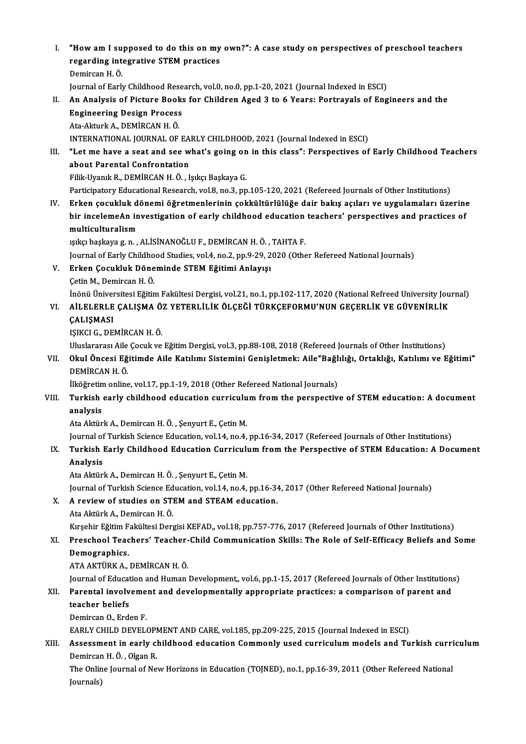I. "How am I supposed to do this on my own?": A case study on perspectives of preschool teachers<br>regarding integrative STEM prestiges "How am I supposed to do this on my<br>regarding integrative STEM practices<br>Domingan H Ö "How am I su<br>regarding int<br>Demircan H.Ö.<br>Journal of Fark regarding integrative STEM practices<br>Demircan H. Ö.<br>Journal of Early Childhood Research, vol.0, no.0, pp.1-20, 2021 (Journal Indexed in ESCI) Demircan H. Ö.<br>Journal of Early Childhood Research, vol.0, no.0, pp.1-20, 2021 (Journal Indexed in ESCI)<br>II. An Analysis of Picture Books for Children Aged 3 to 6 Years: Portrayals of Engineers and the<br>Engineering Desi Journal of Early Childhood Rese<br>An Analysis of Picture Books<br>Engineering Design Process<br>Ata Akturk A. DEMIRCAN H.Ö An Analysis of Picture Book<br>Engineering Design Process<br>Ata-Akturk A., DEMİRCAN H.Ö.<br>INTERNATIONAL JOURNAL OF Engineering Design Process<br>Ata-Akturk A., DEMİRCAN H. Ö.<br>INTERNATIONAL JOURNAL OF EARLY CHILDHOOD, 2021 (Journal Indexed in ESCI) Ata-Akturk A., DEMİRCAN H. Ö.<br>INTERNATIONAL JOURNAL OF EARLY CHILDHOOD, 2021 (Journal Indexed in ESCI)<br>III. "Let me have a seat and see what's going on in this class": Perspectives of Early Childhood Teachers<br>about Perenta INTERNATIONAL JOURNAL OF EA<br>"Let me have a seat and see w<br>about Parental Confrontation<br>Fill: Urank B. DEMIPCAN H.Ö. J "Let me have a seat and see what's going on<br>about Parental Confrontation<br>Filik-Uyanık R., DEMİRCAN H. Ö. , Işıkçı Başkaya G.<br>Partisipatoru Educational Bassarsh val 9 no 3 nn about Parental Confrontation<br>Filik-Uyanık R., DEMİRCAN H. Ö. , Işıkçı Başkaya G.<br>Participatory Educational Research, vol.8, no.3, pp.105-120, 2021 (Refereed Journals of Other Institutions) IV. Erken çocukluk dönemi öğretmenlerinin çokkültürlülüğe dair bakış açıları ve uygulamaları üzerine Participatory Educational Research, vol.8, no.3, pp.105-120, 2021 (Refereed Journals of Other Institutions)<br>Erken çocukluk dönemi öğretmenlerinin çokkültürlülüğe dair bakış açıları ve uygulamaları üzerine<br>bir incelemeAn in Erken çocukluk d<br>bir incelemeAn in<br>multiculturalism<br><sup>multa</sup> beskave s.p. bir incelemeAn investigation of early childhood education<br>multiculturalism<br>151kçı başkaya g.n. , ALİSİNANOĞLU F., DEMİRCAN H. Ö. , TAHTA F.<br>Journal of Farly Childhood Studies val.4, no.2, nn.9, 29, 2929 (Othe multiculturalism<br>151kçı başkaya g. n. , ALİSİNANOĞLU F., DEMİRCAN H. Ö. , TAHTA F.<br>Journal of Early Childhood Studies, vol.4, no.2, pp.9-29, 2020 (Other Refereed National Journals)<br>Erkan Cosukluk Döneminde STEM Eğitimi Anl işıkçı başkaya g. n. , ALİSİNANOĞLU F., DEMİRCAN H. Ö. , TAHTA F.<br>Journal of Early Childhood Studies, vol.4, no.2, pp.9-29, 2020 (Othe<br>V. Erken Çocukluk Döneminde STEM Eğitimi Anlayışı<br>Çetin M., Demircan H. Ö. Journal of Early Childho<br><mark>Erken Çocukluk Döne</mark><br>Çetin M., Demircan H. Ö.<br>İnönü Üniversitesi Făitir Erken Çocukluk Döneminde STEM Eğitimi Anlayışı<br>Çetin M., Demircan H. Ö.<br>İnönü Üniversitesi Eğitim Fakültesi Dergisi, vol.21, no.1, pp.102-117, 2020 (National Refreed University Journal)<br>AİLELERLE GALISMA ÖZ YETERLİLI*V ÖLC* Çetin M., Demircan H. Ö.<br>İnönü Üniversitesi Eğitim Fakültesi Dergisi, vol.21, no.1, pp.102-117, 2020 (National Refreed University Jou<br>CALISMASI İnönü Üniver<br>AİLELERLE<br>ÇALIŞMASI<br>ISIKCLE DE VI. AİLELERLE ÇALIŞMA ÖZ YETERLİLİK ÖLÇEĞİ TÜRKÇEFORMU'NUN GEÇERLİK VE GÜVENİRLİK ÇALIŞMASI<br>ÇALIŞMASI<br>IŞIKCI G., DEMİRCAN H. Ö. ÇALIŞMASI<br>IŞIKCI G., DEMİRCAN H. Ö.<br>Uluslararası Aile Çocuk ve Eğitim Dergisi, vol.3, pp.88-108, 2018 (Refereed Journals of Other Institutions)<br>Okul Öngesi Eğitimde Aile Katılımı Sistemini Cenisletmek: Aile"Beğliliği, Orta IŞIKCI G., DEMİRCAN H. Ö.<br>Uluslararası Aile Çocuk ve Eğitim Dergisi, vol.3, pp.88-108, 2018 (Refereed Journals of Other Institutions)<br>VII. Okul Öncesi Eğitimde Aile Katılımı Sistemini Genişletmek: Aile"Bağlılığı, Ortak Uluslararası Aile<br><mark>Okul Öncesi Eğ</mark><br>DEMİRCAN H. Ö.<br><sup>İlköğrotim onling</sup> Okul Öncesi Eğitimde Aile Katılımı Sistemini Genişletmek: Aile"Bağl<br>DEMİRCAN H. Ö.<br>İlköğretim online, vol.17, pp.1-19, 2018 (Other Refereed National Journals)<br>Turkish esplu shildhaad adusation surrisulum from the perspecti DEMİRCAN H. Ö.<br>İlköğretim online, vol.17, pp.1-19, 2018 (Other Refereed National Journals)<br>VIII. Turkish early childhood education curriculum from the perspective of STEM education: A document<br>analysis İlköğretim online, vol.17, pp.1-19, 2018 (Other Refereed National Journals) Ata Aktürk A., Demircan H. Ö., Şenyurt E., Çetin M. Journal of Turkish Science Education, vol.14, no.4, pp.16-34, 2017 (Refereed Journals of Other Institutions) Ata Aktürk A., Demircan H. Ö. , Şenyurt E., Çetin M.<br>Journal of Turkish Science Education, vol.14, no.4, pp.16-34, 2017 (Refereed Journals of Other Institutions)<br>IX. Turkish Early Childhood Education Curriculum from th Journal of<br><mark>Turkish</mark><br>Analysis<br>Ata Aktürl Turkish Early Childhood Education Curriculu<br>Analysis<br>Ata Aktürk A., Demircan H. Ö. , Şenyurt E., Çetin M.<br>Journal of Turkish Ssiance Education vol 14, no 4. Analysis<br>Ata Aktürk A., Demircan H. Ö. , Şenyurt E., Çetin M.<br>Journal of Turkish Science Education, vol.14, no.4, pp.16-34, 2017 (Other Refereed National Journals)<br>A. naviow of studies on STEM and STEAM advestion Ata Aktürk A., Demircan H. Ö., Şenyurt E., Çetin M.<br>Journal of Turkish Science Education, vol.14, no.4, pp.16-34<br>X. A review of studies on STEM and STEAM education. Journal of Turkish Science Ed<br><mark>A review of studies on ST</mark><br>Ata Aktürk A., Demircan H. Ö.<br>Kurchir Făitim Fakültesi Dere A review of studies on STEM and STEAM education.<br>Ata Aktürk A., Demircan H. Ö.<br>Kırşehir Eğitim Fakültesi Dergisi KEFAD,, vol.18, pp.757-776, 2017 (Refereed Journals of Other Institutions)<br>Pressbool Teasbers' Teasber Child Ata Aktürk A., Demircan H. Ö.<br>Kırşehir Eğitim Fakültesi Dergisi KEFAD,, vol.18, pp.757-776, 2017 (Refereed Journals of Other Institutions)<br>XI. Preschool Teachers' Teacher-Child Communication Skills: The Role of Self-Effica Kırşehir Eğitim F<br>Preschool Teac<br>Demographics.<br>ATA AKTÜPK A ATAAKTÜRKA.,DEMİRCANH.Ö. Demographics.<br>ATA AKTÜRK A., DEMİRCAN H. Ö.<br>Journal of Education and Human Development,, vol.6, pp.1-15, 2017 (Refereed Journals of Other Institutions)<br>Parantal invalvement and developmentally appropriate practices: a semp ATA AKTÜRK A., DEMİRCAN H. Ö.<br>Journal of Education and Human Development,, vol.6, pp.1-15, 2017 (Refereed Journals of Other Institution:<br>XII. Parental involvement and developmentally appropriate practices: a comparison Journal of Educat<br><mark>Parental involv</mark><br>teacher beliefs<br>Domirean O. Erd XII. Parental involvement and developmentally appropriate practices: a comparison of parent and teacher beliefs<br>Demircan O., Erden F. teacher beliefs<br>Demircan O., Erden F.<br>EARLY CHILD DEVELOPMENT AND CARE, vol.185, pp.209-225, 2015 (Journal Indexed in ESCI)<br>Assessment in early shildhood education Commonly used surrigulum models and Tu Demircan O., Erden F.<br>EARLY CHILD DEVELOPMENT AND CARE, vol.185, pp.209-225, 2015 (Journal Indexed in ESCI)<br>XIII. Assessment in early childhood education Commonly used curriculum models and Turkish curriculum<br>Demirsen H.Ö. EARLY CHILD DEVELOPI<br>Assessment in early cl<br>Demircan H. Ö. , Olgan R.<br>The Opline Journal of Ne Assessment in early childhood education Commonly used curriculum models and Turkish curri<br>Demircan H. Ö. , Olgan R.<br>The Online Journal of New Horizons in Education (TOJNED), no.1, pp.16-39, 2011 (Other Refereed National<br>Jo Demircan H. Ö. , Olgan R.<br>The Online Journal of New Horizons in Education (TOJNED), no.1, pp.16-39, 2011 (Other Refereed National<br>Journals)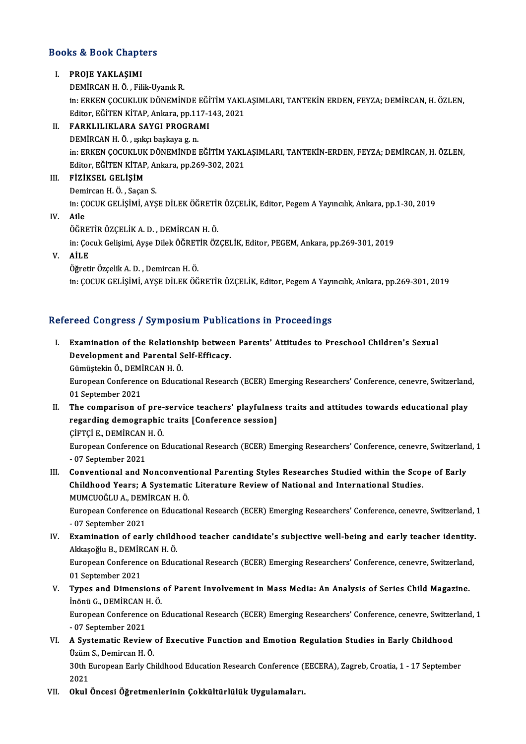## Books&Book Chapters **ooks & Book Chapt**<br>I. PROJE YAKLAŞIMI<br>DEMİRCAN HÖLESI

I. PROJE YAKLAŞIMI<br>DEMİRCAN H. Ö., Filik-Uyanık R.

PROJE YAKLAŞIMI<br>DEMİRCAN H. Ö. , Filik-Uyanık R.<br>in: ERKEN ÇOCUKLUK DÖNEMİNDE EĞİTİM YAKLAŞIMLARI, TANTEKİN ERDEN, FEYZA; DEMİRCAN, H. ÖZLEN,<br>Editer Eğiten KitAR Ankara, pp.117.142.2021 DEMİRCAN H. Ö. , Filik-Uyanık R.<br>in: ERKEN ÇOCUKLUK DÖNEMİNDE EĞİTİM YAKL<br>Editor, EĞİTEN KİTAP, Ankara, pp.117-143, 2021<br>EARKLU IKLARA SAYÇI BROÇRAMI in: ERKEN ÇOCUKLUK DÖNEMİNDE EĞİ<br>Editor, EĞİTEN KİTAP, Ankara, pp.117-1<br>II. FARKLILIKLARA SAYGI PROGRAMI

Editor, EĞİTEN KİTAP, Ankara, pp.11<br>FARKLILIKLARA SAYGI PROGRA<br>DEMİRCAN H. Ö. , ışıkçı başkaya g. n.<br>in. ERKEN COCUKLUK DÖNEMİNDE DEMİRCAN H. Ö. , ışıkçı başkaya g. n.<br>in: ERKEN COCUKLUK DÖNEMİNDE EĞİTİM YAKLAŞIMLARI, TANTEKİN-ERDEN, FEYZA; DEMİRCAN, H. ÖZLEN, DEMİRCAN H. Ö. , ışıkçı başkaya g. n.<br>in: ERKEN ÇOCUKLUK DÖNEMİNDE EĞİTİM YAKL<br>Editor, EĞİTEN KİTAP, Ankara, pp.269-302, 2021<br>EİZİKSEL, CELİSİM in: ERKEN ÇOCUKLUK<br>Editor, EĞİTEN KİTAP<br>III. FİZİKSEL GELİŞİM

Editor, EĞİTEN KİTAP, Aı<br>FİZİKSEL GELİŞİM<br>Demircan H. Ö. , Saçan S.<br>in: COCUK CELİSİMİ AVS FİZİKSEL GELİŞİM<br>Demircan H. Ö. , Saçan S.<br>in: ÇOCUK GELİŞİMİ, AYŞE DİLEK ÖĞRETİR ÖZÇELİK, Editor, Pegem A Yayıncılık, Ankara, pp.1-30, 2019<br>Ailo Demircan H. Ö. , Saçan S.<br>in: ÇOCUK GELİŞİMİ, AYŞE DİLEK ÖĞRETİI<br>IV. Aile<br>ÖĞRETİR ÖZCELİK A. D. , DEMİRCAN H. Ö.

in: ÇOCUK GELİŞİMİ, AYŞE DİLEK ÖĞRETİI<br>Aile<br>ÖĞRETİR ÖZÇELİK A. D. , DEMİRCAN H. Ö.<br>in: Çocuk Çelişimi, Ayçe Dilek Öğ PETİR ÖZ in:ÇocukGelişimi,AyşeDilekÖĞRETİRÖZÇELİK,Editor,PEGEM,Ankara,pp.269-301,2019

## V. AİLE

ÖğretirÖzçelikA.D. ,DemircanH.Ö. in:ÇOCUKGELİŞİMİ,AYŞEDİLEKÖĞRETİRÖZÇELİK,Editor,PegemAYayıncılık,Ankara,pp.269-301,2019

## Refereed Congress / Symposium Publications in Proceedings

efereed Congress / Symposium Publications in Proceedings<br>I. Examination of the Relationship between Parents' Attitudes to Preschool Children's Sexual<br>Peyelenment and Perental Self Efficesy Examination of the Relationship between<br>Development and Parental Self-Efficacy. Examination of the Relations<br>Development and Parental S<br>Gümüştekin Ö., DEMİRCAN H. Ö.<br>European Conforence en Educat Gümüştekin Ö., DEMİRCAN H. Ö.

Development and Parental Self-Efficacy.<br>Gümüştekin Ö., DEMİRCAN H. Ö.<br>European Conference on Educational Research (ECER) Emerging Researchers' Conference, cenevre, Switzerland,<br>01 September 2021

- II. The comparison of pre-service teachers' playfulness traits and attitudes towards educational play 01 September 2021<br>The comparison of pre-service teachers' playfulnes<br>regarding demographic traits [Conference session]<br>Cirrci E. DEMIRCAN H.Ö The comparison of pre-<br>regarding demographic<br>ÇİFTÇİ E., DEMİRCAN H. Ö.<br>European Conference on E
	-

EuropeanConference onEducationalResearch (ECER) EmergingResearchers' Conference, cenevre,Switzerland,1 CIFTCI E., DEMIRCAN<br>European Conference<br>- 07 September 2021<br>Conventional and N I I. Conventional and Nonconventional Parenting Styles Researches Studied within the Scope of Early

- 07 September 2021<br>Conventional and Nonconventional Parenting Styles Researches Studied within the Scop<br>Childhood Years; A Systematic Literature Review of National and International Studies.<br>MUMCIOČLILA, DEMIRCAN H.Ö Conventional and Nonconvent<br>Childhood Years; A Systemation<br>MUMCUOĞLU A., DEMİRCAN H. Ö.<br>Euronean Conference en Educatio Childhood Years; A Systematic Literature Review of National and International Studies.<br>MUMCUOĞLU A., DEMİRCAN H. Ö.<br>European Conference on Educational Research (ECER) Emerging Researchers' Conference, cenevre, Switzerland,

MUMCUOĞLU A., DEMİRCAN H. Ö.<br>European Conference on Educational Research (ECER) Emerging Researchers' Conference, cenevre, Switzerland, 1<br>- 07 September 2021 European Conference on Educational Research (ECER) Emerging Researchers' Conference, cenevre, Switzerland,<br>- 07 September 2021<br>IV. Examination of early childhood teacher candidate's subjective well-being and early teacher

- 07 September 2021<br>Examination of early childl<br>Akkaşoğlu B., DEMİRCAN H. Ö.<br>Euronean Conference en Edua Examination of early childhood teacher candidate's subjective well-being and early teacher identity.<br>Akkaşoğlu B., DEMİRCAN H. Ö.<br>European Conference on Educational Research (ECER) Emerging Researchers' Conference, cenevre

Akkaşoğlu B., DEMİRCAN H. Ö.<br>European Conference on Educational Research (ECER) Emerging Researchers' Conference, cenevre, Switzerland,<br>01 September 2021 European Conference on Educational Research (ECER) Emerging Researchers' Conference, cenevre, Switzerland<br>11 September 2021<br>12 V. Types and Dimensions of Parent Involvement in Mass Media: An Analysis of Series Child Magazi

01 September 2021<br>**Types and Dimensions<br>İn**önü G., DEMİRCAN H. Ö.<br>European Conference en l Types and Dimensions of Parent Involvement in Mass Media: An Analysis of Series Child Magazine.<br>Inönü G., DEMIRCAN H. Ö.<br>European Conference on Educational Research (ECER) Emerging Researchers' Conference, cenevre, Switzer

İnönü G., DEMİRCAN H. Ö.<br>European Conference on Educational Research (ECER) Emerging Researchers' Conference, cenevre, Switzerland, 1<br>- 07 September 2021 European Conference on Educational Research (ECER) Emerging Researchers' Conference, cenevre, Switzer - 07 September 2021<br>VI. A Systematic Review of Executive Function and Emotion Regulation Studies in Early Childhood<br>Ugüm

- 07 September 2021<br>**A Systematic Review<br>Üzüm S., Demircan H. Ö.**<br>20th Europeen Ferly Ch A Systematic Review of Executive Function and Emotion Regulation Studies in Early Childhood<br>Üzüm S., Demircan H. Ö.<br>30th European Early Childhood Education Research Conference (EECERA), Zagreb, Croatia, 1 - 17 September<br>20

Üzüm<br>30th E<br>2021<br>Okul

VI . Okul Öncesi Öğretmenlerinin Çokkültürlülük Uygulamaları.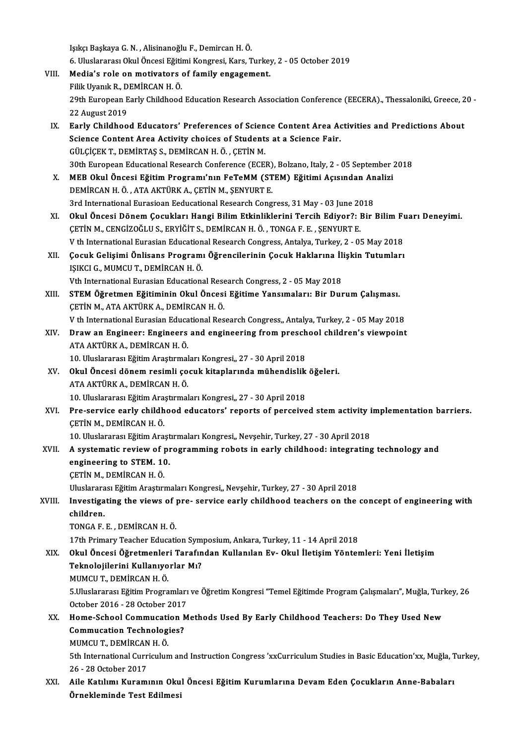IşıkçıBaşkayaG.N. ,Alisinanoğlu F.,DemircanH.Ö. Işıkçı Başkaya G. N. , Alisinanoğlu F., Demircan H. Ö.<br>6. Uluslararası Okul Öncesi Eğitimi Kongresi, Kars, Turkey, 2 - 05 October 2019<br>Media's rala an mativatara of family angagamant VIII. Media's role on motivators of family engagement.<br>Filik Uvanık R., DEMİRCAN H. Ö. 6. Uluslararası Okul Öncesi Eğiti<br>Media's role on motivators<br>Filik Uyanık R., DEMİRCAN H. Ö.<br>20th Euroneen Ferly Childheed Media's role on motivators of family engagement.<br>Filik Uyanık R., DEMİRCAN H. Ö.<br>29th European Early Childhood Education Research Association Conference (EECERA)., Thessaloniki, Greece, 20 -Filik Uyanık R., D<br>29th European E<br>22 August 2019<br>Early Childhoo 29th European Early Childhood Education Research Association Conference (EECERA)., Thessaloniki, Greece, 2<br>22 August 2019<br>IX. Early Childhood Educators' Preferences of Science Content Area Activities and Predictions About<br> 22 August 2019<br>Early Childhood Educators' Preferences of Science Content Area Activity choices of Students at a Science Fair.<br>Cill CiCEK T. DEMIPTAS S. DEMIRCAN H.Ö., CETIN M. Early Childhood Educators' Preferences of Scien<br>Science Content Area Activity choices of Student:<br>GÜLÇİÇEK T., DEMİRTAŞ S., DEMİRCAN H.Ö. , ÇETİN M.<br>20th European Educational Besearsh Conference (ECE) Science Content Area Activity choices of Students at a Science Fair.<br>GÜLÇİÇEK T., DEMİRTAŞ S., DEMİRCAN H. Ö. , ÇETİN M.<br>30th European Educational Research Conference (ECER), Bolzano, Italy, 2 - 05 September 2018<br>MER Oluyl GÜLÇİÇEK T., DEMİRTAŞ S., DEMİRCAN H. Ö. , ÇETİN M.<br>30th European Educational Research Conference (ECER), Bolzano, Italy, 2 - 05 September :<br>X. MEB Okul Öncesi Eğitim Programı'nın FeTeMM (STEM) Eğitimi Açısından Analizi<br>DE 30th European Educational Research Conference (ECER)<br>MEB Okul Öncesi Eğitim Programı'nın FeTeMM (ST<br>DEMİRCAN H. Ö., ATA AKTÜRK A., ÇETİN M., ŞENYURT E.<br>2rd International Eurosiaan Eeducational Bessareb Const 3. MEB Okul Öncesi Eğitim Programı'nın FeTeMM (STEM) Eğitimi Açısından Analizi<br>DEMİRCAN H. Ö., ATA AKTÜRK A., ÇETİN M., ŞENYURT E.<br>3rd International Eurasioan Eeducational Research Congress, 31 May - 03 June 2018 DEMİRCAN H. Ö. , ATA AKTÜRK A., ÇETİN M., ŞENYURT E.<br>3rd International Eurasioan Eeducational Research Congress, 31 May - 03 June 2018<br>XI. Okul Öncesi Dönem Çocukları Hangi Bilim Etkinliklerini Tercih Ediyor?: Bir Bili 3rd International Eurasioan Eeducational Research Congress, 31 May - 03 June 20<br>Okul Öncesi Dönem Çocukları Hangi Bilim Etkinliklerini Tercih Ediyor?: 1<br>ÇETİN M., CENGİZOĞLU S., ERYİĞİT S., DEMİRCAN H. Ö. , TONGA F. E. , Ş Okul Öncesi Dönem Çocukları Hangi Bilim Etkinliklerini Tercih Ediyor?: Bir Bilim Fu<br>ÇETİN M., CENGİZOĞLU S., ERYİĞİT S., DEMİRCAN H. Ö. , TONGA F. E. , ŞENYURT E.<br>V th International Eurasian Educational Research Congress, CETIN M., CENGIZOĞLU S., ERYIĞIT S., DEMIRCAN H. Ö. , TONGA F. E. , ŞENYURT E.<br>V th International Eurasian Educational Research Congress, Antalya, Turkey, 2 - 05 May 2018<br>XII. Cocuk Gelişimi Önlisans Programı Öğrencilerini V th International Eurasian Education<br>Çocuk Gelişimi Önlisans Program<br>IŞIKCI G., MUMCU T., DEMİRCAN H. Ö.<br>Vth International Eurasian Educationa Çocuk Gelişimi Önlisans Programı Öğrencilerinin Çocuk Haklarına İl<br>IŞIKCI G., MUMCU T., DEMİRCAN H. Ö.<br>Vth International Eurasian Educational Research Congress, 2 - 05 May 2018<br>STEM Öğretmen Eğitiminin Olul Öneesi Eğitime IŞIKCI G., MUMCU T., DEMİRCAN H. Ö.<br>Vth International Eurasian Educational Research Congress, 2 - 05 May 2018<br>XIII. STEM Öğretmen Eğitiminin Okul Öncesi Eğitime Yansımaları: Bir Durum Çalışması.<br>CETİN M. ATA AKTÜRK A. DEMİ Vth International Eurasian Educational Rese<br>STEM Öğretmen Eğitiminin Okul Öncesi<br>ÇETİN M., ATA AKTÜRK A., DEMİRCAN H. Ö.<br>V.th International Eurasian Educational Bes STEM Öğretmen Eğitiminin Okul Öncesi Eğitime Yansımaları: Bir Durum Çalışması.<br>ÇETİN M., ATA AKTÜRK A., DEMİRCAN H. Ö.<br>V th International Eurasian Educational Research Congress,, Antalya, Turkey, 2 - 05 May 2018<br>Draw an En CETIN M., ATA AKTÜRK A., DEMIRCAN H. Ö.<br>V th International Eurasian Educational Research Congress,, Antalya, Turkey, 2 - 05 May 2018<br>XIV. Draw an Engineer: Engineers and engineering from preschool children's viewpoint<br> V th International Eurasian Educa<br>Dr<mark>aw an Engineer: Engineers</mark><br>ATA AKTÜRK A., DEMİRCAN H. Ö.<br>10 Uluslararası Eğitim Arastırmal Draw an Engineer: Engineers and engineering from presch<br>ATA AKTÜRK A., DEMİRCAN H. Ö.<br>10. Uluslararası Eğitim Araştırmaları Kongresi,, 27 - 30 April 2018<br>Okul Öngesi dönem resimli sosuk kitanlarında mühandislik ATA AKTÜRK A., DEMİRCAN H. Ö.<br>10. Uluslararası Eğitim Araştırmaları Kongresi,, 27 - 30 April 2018<br>XV. Okul Öncesi dönem resimli çocuk kitaplarında mühendislik öğeleri.<br>ATA AKTÜRK A. DEMİRCAN H. Ö. 10. Uluslararası Eğitim Araştırmal<br>Okul Öncesi dönem resimli ço<br>ATA AKTÜRK A., DEMİRCAN H. Ö.<br>10. Uluslararası Eğitim Arastırmal 0kul Öncesi dönem resimli çocuk kitaplarında mühendislik<br>ATA AKTÜRK A., DEMİRCAN H. Ö.<br>10. Uluslararası Eğitim Araştırmaları Kongresi,, 27 - 30 April 2018<br>Pre servise şarlı: shildhead edusaters' reperts of perseive ATA AKTÜRK A., DEMİRCAN H. Ö.<br>10. Uluslararası Eğitim Araştırmaları Kongresi,, 27 - 30 April 2018<br>XVI. Pre-service early childhood educators' reports of perceived stem activity implementation barriers.<br>CETİN M. DEMİRCA 10. Uluslararası Eğitim Ara<br>Pre-service early childh<br>ÇETİN M., DEMİRCAN H. Ö.<br>10. Uluslararası Eğitim Ara Pre-service early childhood educators' reports of perceived stem activity i<br>ÇETİN M., DEMİRCAN H. Ö.<br>10. Uluslararası Eğitim Araştırmaları Kongresi,, Nevşehir, Turkey, 27 - 30 April 2018<br>A systematis nevjew of programming CETIN M., DEMIRCAN H. Ö.<br>10. Uluslararası Eğitim Araştırmaları Kongresi,, Nevşehir, Turkey, 27 - 30 April 2018<br>XVII. A systematic review of programming robots in early childhood: integrating technology and<br>ongineering 10. Uluslararası Eğitim Araşt<br>A systematic review of prengineering to STEM. 10.<br>CETIN M. DEMIRCAN H.Ö. A systematic review of p<br>engineering to STEM. 1<br>CETİN M., DEMİRCAN H. Ö.<br>Uluelararası Eğitim Arastını engineering to STEM. 10.<br>ÇETİN M., DEMİRCAN H. Ö.<br>Uluslararası Eğitim Araştırmaları Kongresi,, Nevşehir, Turkey, 27 - 30 April 2018<br>Investisating the views of nre., senyise early shildheed teashers on the CETIN M., DEMIRCAN H. Ö.<br>Uluslararası Eğitim Araştırmaları Kongresi,, Nevşehir, Turkey, 27 - 30 April 2018<br>XVIII. Investigating the views of pre- service early childhood teachers on the concept of engineering with<br>children Uluslarara<br><mark>Investiga</mark><br>children.<br>TONCA E TONGAF.E. ,DEMİRCANH.Ö. 17th Primary Teacher Education Symposium, Ankara, Turkey, 11 - 14 April 2018 XIX. Okul Öncesi Öğretmenleri Tarafından Kullanılan Ev- Okul İletişim Yöntemleri: Yeni İletişim 17th Primary Teacher Education Sym<br>Okul Öncesi Öğretmenleri Tarafın<br>Teknolojilerini Kullanıyorlar Mı?<br>MUMCU T. DEMİRCAN H.Ö

Okul Öncesi Öğretmenler<br>Teknolojilerini Kullanıyo<br>MUMCU T., DEMİRCAN H. Ö.<br>5 Uluslararası Fğitim Progra Teknolojilerini Kullanıyorlar Mı?<br>MUMCU T., DEMİRCAN H. Ö.<br>5.Uluslararası Eğitim Programları ve Öğretim Kongresi "Temel Eğitimde Program Çalışmaları", Muğla, Turkey, 26<br>Ostabar 2016 - 28 Ostabar 2017 MUMCU T., DEMİRCAN H. Ö.<br>5.Uluslararası Eğitim Programları<br>October 2016 - 28 October 2017<br>Hama Sabaal Cammusatian M 5.Uluslararası Eğitim Programları ve Öğretim Kongresi "Temel Eğitimde Program Çalışmaları", Muğla, Turi<br>October 2016 - 28 October 2017<br>XX. Home-School Commucation Methods Used By Early Childhood Teachers: Do They Used New

- October 2016 28 October 2017<br>Home-School Commucation Methods Used By Early Childhood Teachers: Do They Used New<br>Commucation Technologies? Home-School Commucati<br>Commucation Technolog<br>MUMCU T., DEMİRCAN H. Ö.<br>Eth International Curriculun 5th International Curriculum and Instruction Congress 'xxCurriculum Studies in Basic Education'xx, Muğla, Turkey,<br>26 - 28 October 2017 MUMCU T., DEMIRCAN<br>5th International Curr<br>26 - 28 October 2017<br>Ailo Katılımı Kunomı
- 5th International Curriculum and Instruction Congress 'xxCurriculum Studies in Basic Education'xx, Muğla, T<br>26 28 October 2017<br>XXI. Aile Katılımı Kuramının Okul Öncesi Eğitim Kurumlarına Devam Eden Çocukların Anne-Babala 26 - 28 October 2017<br>Aile Katılımı Kuramının Oku<br>Örnekleminde Test Edilmesi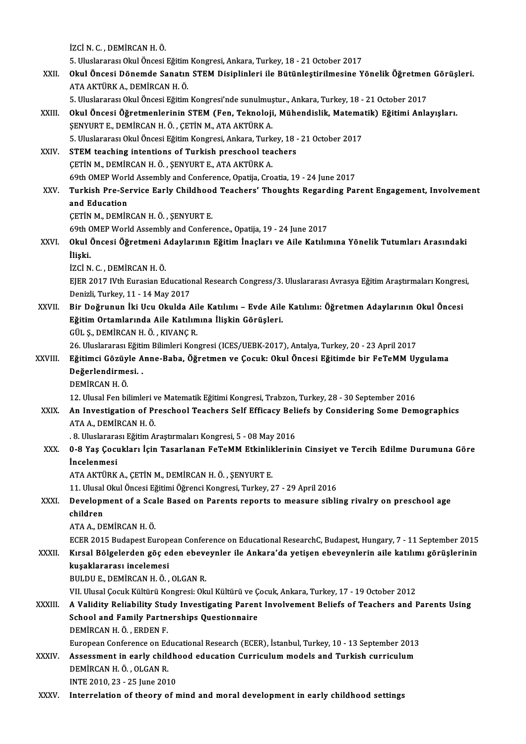İZCİN.C. ,DEMİRCANH.Ö. iZCİ N. C. , DEMİRCAN H. Ö.<br>5. Uluslararası Okul Öncesi Eğitim Kongresi, Ankara, Turkey, 18 - 21 October 2017<br>Okul Öncesi Dönemde Sanatın STEM Disiplinleri ile Bütünlestirilmesine Y İZCİ N. C. , DEMİRCAN H. Ö.<br>5. Uluslararası Okul Öncesi Eğitim Kongresi, Ankara, Turkey, 18 - 21 October 2017<br>XXII. Okul Öncesi Dönemde Sanatın STEM Disiplinleri ile Bütünleştirilmesine Yönelik Öğretmen Görüşleri.<br>ATA 5. Uluslararası Okul Öncesi Eğitim<br>Okul Öncesi Dönemde Sanatın<br>ATA AKTÜRK A., DEMİRCAN H. Ö.<br>5. Uluslararası Olul Öncesi Eğitim Okul Öncesi Dönemde Sanatın STEM Disiplinleri ile Bütünleştirilmesine Yönelik Öğretmer<br>ATA AKTÜRK A., DEMİRCAN H. Ö.<br>5. Uluslararası Okul Öncesi Eğitim Kongresi'nde sunulmuştur., Ankara, Turkey, 18 - 21 October 2017<br>Okul Ö ATA AKTÜRK A., DEMİRCAN H. Ö.<br>5. Uluslararası Okul Öncesi Eğitim Kongresi'nde sunulmuştur., Ankara, Turkey, 18 - 21 October 2017<br>8. XXIII. Okul Öncesi Öğretmenlerinin STEM (Fen, Teknoloji, Mühendislik, Matematik) Eğiti 5. Uluslararası Okul Öncesi Eğitim Kongresi'nde sunulmuştur., Ankara, Turkey, 18 - 21 October 2017<br>Okul Öncesi Öğretmenlerinin STEM (Fen, Teknoloji, Mühendislik, Matematik) Eğitimi Anla<br>ŞENYURT E., DEMİRCAN H.Ö., ÇETİN M., Okul Öncesi Öğretmenlerinin STEM (Fen, Teknoloji, Mühendislik, Matema<br>ŞENYURT E., DEMİRCAN H.Ö. , ÇETİN M., ATA AKTÜRK A.<br>5. Uluslararası Okul Öncesi Eğitim Kongresi, Ankara, Turkey, 18 - 21 October 2017<br>STEM teaching inte SENYURT E., DEMIRCAN H. Ö. , ÇETİN M., ATA AKTÜRK A.<br>5. Uluslararası Okul Öncesi Eğitim Kongresi, Ankara, Turkey, 18 -<br>XXIV. STEM teaching intentions of Turkish preschool teachers<br>CETIN M. DEMIRCAN H. Ö. SENVIRT E. ATA AKT 5. Uluslararası Okul Öncesi Eğitim Kongresi, Ankara, Turk<br>STEM teaching intentions of Turkish preschool tea<br>ÇETİN M., DEMİRCAN H. Ö. , ŞENYURT E., ATA AKTÜRK A.<br>60th OMER World Assembly and Conference Opetija Cro 69th M., DEMİRCAN H. Ö. , ŞENYURT E., ATA AKTÜRK A.<br>69th OMEP World Assembly and Conference, Opatija, Croatia, 19 - 24 June 2017 CETIN M., DEMIRCAN H. Ö. , ŞENYURT E., ATA AKTÜRK A.<br>69th OMEP World Assembly and Conference, Opatija, Croatia, 19 - 24 June 2017<br>XXV. Turkish Pre-Service Early Childhood Teachers' Thoughts Regarding Parent Engagement, **69th OMEP Worl<br>Turkish Pre-Se<br>and Education<br>CETIN M. DEMIR** and Education<br>ÇETİN M., DEMİRCAN H.Ö. , ŞENYURT E. and Education<br>ÇETİN M., DEMİRCAN H. Ö. , ŞENYURT E.<br>69th OMEP World Assembly and Conference., Opatija, 19 - 24 June 2017<br>Okul Önessi Öğretmeni Adaylarının Fğitim İnasları ve Aile Katılır ÇETİN M., DEMİRCAN H. Ö. , ŞENYURT E.<br>69th OMEP World Assembly and Conference., Opatija, 19 - 24 June 2017<br>XXVI. Okul Öncesi Öğretmeni Adaylarının Eğitim İnaçları ve Aile Katılımına Yönelik Tutumları Arasındaki<br>İlişki 69th C<br>Okul d<br>İlişki.<br>İzci N Okul Öncesi Öğretmeni A<br>İlişki.<br>İZCİ N. C. , DEMİRCAN H. Ö.<br>ELER 2017 N/th Eurosian Es İli**şki.**<br>İZCİ N. C. , DEMİRCAN H. Ö.<br>EJER 2017 IVth Eurasian Educational Research Congress/3. Uluslararası Avrasya Eğitim Araştırmaları Kongresi, İZCİ N. C. , DEMİRCAN H. Ö.<br>EJER 2017 IVth Eurasian Education<br>Denizli, Turkey, 11 - 14 May 2017<br>Bir Dežrunun İlti Hau Olulda 4 EJER 2017 IVth Eurasian Educational Research Congress/3. Uluslararası Avrasya Eğitim Araştırmaları Kongres<br>Denizli, Turkey, 11 - 14 May 2017<br>XXVII. Bir Doğrunun İki Ucu Okulda Aile Katılımı – Evde Aile Katılımı: Öğretmen A Denizli, Turkey, 11 - 14 May 2017<br>XXVII. Bir Doğrunun İki Ucu Okulda Aile Katılımı – Evde Aile Katılımı: Öğretmen Adaylarının Okul Öncesi<br>Eğitim Ortamlarında Aile Katılımına İlişkin Görüşleri. GÜL Ş.,DEMİRCANH.Ö. ,KIVANÇR. Eğitim Ortamlarında Aile Katılımına İlişkin Görüşleri.<br>GÜL Ş., DEMİRCAN H. Ö. , KIVANÇ R.<br>26. Uluslararası Eğitim Bilimleri Kongresi (ICES/UEBK-2017), Antalya, Turkey, 20 - 23 April 2017<br>Eğitimci Gözüyle Anne Baba, Öğretme GÜL Ş., DEMİRCAN H. Ö. , KIVANÇ R.<br>26. Uluslararası Eğitim Bilimleri Kongresi (ICES/UEBK-2017), Antalya, Turkey, 20 - 23 April 2017<br>XXVIII. Eğitimci Gözüyle Anne-Baba, Öğretmen ve Çocuk: Okul Öncesi Eğitimde bir FeTeMM 26. Uluslararası Eğiti<br>Eğitimci Gözüyle A<br>Değerlendirmesi.<br>DEMİPCAN H.Ö Eğitimci Gözüy<br>Değerlendirme<br>DEMİRCAN H. Ö.<br>12. Ulusal Fan bi <mark>Değerlendirmesi. .</mark><br>DEMİRCAN H. Ö.<br>12. Ulusal Fen bilimleri ve Matematik Eğitimi Kongresi, Trabzon, Turkey, 28 - 30 September 2016 DEMİRCAN H. Ö.<br>12. Ulusal Fen bilimleri ve Matematik Eğitimi Kongresi, Trabzon, Turkey, 28 - 30 September 2016<br>XXIX. An Investigation of Preschool Teachers Self Efficacy Beliefs by Considering Some Demographics<br>ATA A D 12. Ulusal Fen bilimleri v<br>**An Investigation of Pr**<br>ATA A., DEMİRCAN H. Ö.<br>9. Uluslararası Fğitim A. An Investigation of Preschool Teachers Self Efficacy Beli<br>ATA A., DEMİRCAN H. Ö.<br>. 8. Uluslararası Eğitim Araştırmaları Kongresi, 5 - 08 May 2016<br>0. 8 Yas Cosukları İsin Tesarlaran EsTaMM Etkinliklerini ATA A., DEMİRCAN H. Ö.<br>18. Uluslararası Eğitim Araştırmaları Kongresi, 5 - 08 May 2016<br>XXX. 0-8 Yaş Çocukları İçin Tasarlanan FeTeMM Etkinliklerinin Cinsiyet ve Tercih Edilme Durumuna Göre<br>İncelenmesi **. 8. Uluslarara<br>0-8 Yaş Çocu<br>İncelenmesi**<br>ATA AKTÜRK 0-8 Yaş Çocukları İçin Tasarlanan FeTeMM Etkinlik<br>İncelenmesi<br>ATA AKTÜRK A., ÇETİN M., DEMİRCAN H. Ö. , ŞENYURT E.<br>11 Hlusel Olul Öncesi Eğitimi Öğrensi Kangresi Turkey 2 İncelenmesi<br>ATA AKTÜRK A., ÇETİN M., DEMİRCAN H. Ö. , ŞENYURT E.<br>11. Ulusal Okul Öncesi Eğitimi Öğrenci Kongresi, Turkey, 27 - 29 April 2016<br>Develenment of a Scale Based en Parents reperts te messure sibli ATA AKTÜRK A., ÇETİN M., DEMİRCAN H. Ö. , ŞENYURT E.<br>11. Ulusal Okul Öncesi Eğitimi Öğrenci Kongresi, Turkey, 27 - 29 April 2016<br>XXXI. Development of a Scale Based on Parents reports to measure sibling rivalry on presc 11. Ulusal<br>Developr<br>children<br>ATA A. DE ATAA.,DEMİRCANH.Ö. children<br>ATA A., DEMİRCAN H. Ö.<br>ECER 2015 Budapest European Conference on Educational ResearchC, Budapest, Hungary, 7 - 11 September 2015<br>Kırsal Bölgelerden gös aden ebeyevnler ile Ankara'da yetisen ebeyevnlerin aile katıl ATA A., DEMİRCAN H. Ö.<br>ECER 2015 Budapest European Conference on Educational ResearchC, Budapest, Hungary, 7 - 11 September 2015<br>XXXII. Kırsal Bölgelerden göç eden ebeveynler ile Ankara'da yetişen ebeveynlerin aile kat ECER 2015 Budapest Europ<br>Kırsal Bölgelerden göç e<br>kuşaklararası incelemesi<br>PULDUE DEMİPCAN HÖ Kırsal Bölgelerden göç eden ebeve<br>kuşaklararası incelemesi<br>BULDU E., DEMİRCAN H.Ö., OLGAN R.<br>VIL Illucal Cosuk Kültürü Konstesi: Ola kuşaklararası incelemesi<br>BULDU E., DEMİRCAN H. Ö. , OLGAN R.<br>VII. Ulusal Çocuk Kültürü Kongresi: Okul Kültürü ve Çocuk, Ankara, Turkey, 17 - 19 October 2012<br>A Volidity Roliability Study Investigating Barant Involvement Bol BULDU E., DEMİRCAN H. Ö. , OLGAN R.<br>VII. Ulusal Çocuk Kültürü Kongresi: Okul Kültürü ve Çocuk, Ankara, Turkey, 17 - 19 October 2012<br>XXXIII. A Validity Reliability Study Investigating Parent Involvement Beliefs of Teach VII. Ulusal Çocuk Kültürü Kongresi: Okul Kültürü ve Ç<br>A Validity Reliability Study Investigating Parent<br>School and Family Partnerships Questionnaire<br>DEMIRCAN H Ö, EPDEN E A Validity Reliability Stue<br>School and Family Partne<br>DEMİRCAN H. Ö., ERDEN F.<br>European Conference on Ed School and Family Partnerships Questionnaire<br>DEMİRCAN H. Ö. , ERDEN F.<br>European Conference on Educational Research (ECER), İstanbul, Turkey, 10 - 13 September 2013 DEMİRCAN H. Ö. , ERDEN F.<br>European Conference on Educational Research (ECER), İstanbul, Turkey, 10 - 13 September 2013<br>XXXIV. Assessment in early childhood education Curriculum models and Turkish curriculum<br>DEMİRCAN H. Ö. European Conference on Ed<br>Assessment in early child<br>DEMİRCAN H. Ö. , OLGAN R.<br>INTE 2010, 22 , 25 June 201 Assessment in early childhe<br>DEMİRCAN H. Ö. , OLGAN R.<br>INTE 2010, 23 - 25 June 2010<br>Internalation of theory of n DEMIRCAN H. Ö. , OLGAN R.<br>INTE 2010, 23 - 25 June 2010<br>XXXV. Interrelation of theory of mind and moral development in early childhood settings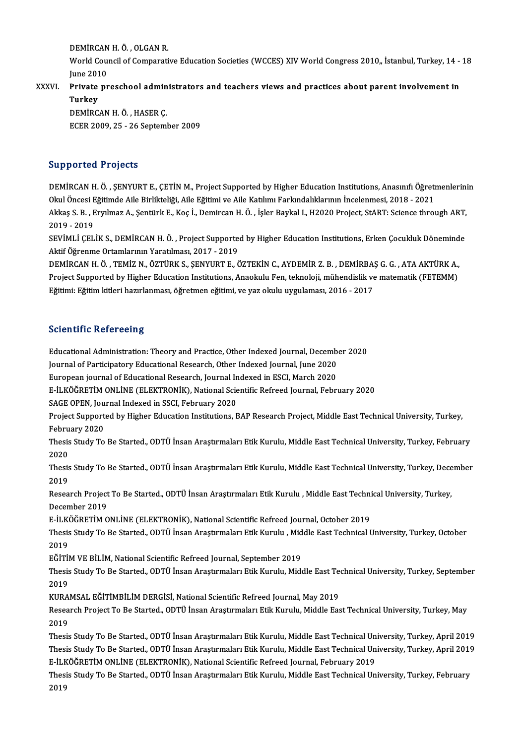DEMİRCAN H. Ö. , OLGAN R.<br>Warld Caungil of Companyti

World Council of Comparative Education Societies (WCCES) XIV World Congress 2010,, İstanbul, Turkey, 14 - 18<br>Iune 2010 DEMIRCAN<br>World Cou<br>June 2010<br>Private pr World Council of Comparative Education Societies (WCCES) XIV World Congress 2010,, İstanbul, Turkey, 14 -<br>June 2010<br>XXXVI. Private preschool administrators and teachers views and practices about parent involvement in<br>Turke

## June 20<mark>1</mark><br>Private<br>Turkey<br>DEMiPC Private preschool admin<br>Turkey<br>DEMİRCAN H.Ö., HASER Ç.<br>ECEP 2009 25 - 26 Senteml

Turkey<br>DEMİRCAN H. Ö. , HASER Ç.<br>ECER 2009, 25 - 26 September 2009

## Supported Projects

Supported Projects<br>DEMİRCAN H. Ö. , ŞENYURT E., ÇETİN M., Project Supported by Higher Education Institutions, Anasınıfı Öğretmenlerinin<br>Qlay Öngesi Fğitimde Aile Birlikteliği, Aile Eğitimi ve Aile Katılımı Farkındalıkların Okpertea 11990es<br>DEMİRCAN H. Ö. , ŞENYURT E., ÇETİN M., Project Supported by Higher Education Institutions, Anasınıfı Öğretı<br>Akkas S. B., Ewylmaz A. Sontürk E. Kas İ. Domirsan H. Ö., İslan Baykal I. H2020 Project, StAPT: S DEMİRCAN H. Ö. , ŞENYURT E., ÇETİN M., Project Supported by Higher Education Institutions, Anasınıfı Öğretmenlerini<br>Okul Öncesi Eğitimde Aile Birlikteliği, Aile Eğitimi ve Aile Katılımı Farkındalıklarının İncelenmesi, 2018 Okul Öncesi Eğitimde Aile Birlikteliği, Aile Eğitimi ve Aile Katılımı Farkındalıklarının İncelenmesi, 2018 - 2021<br>Akkaş S. B. , Eryılmaz A., Şentürk E., Koç İ., Demircan H. Ö. , İşler Baykal I., H2020 Project, StART: Scien

Akkaş S. B. , Eryılmaz A., Şentürk E., Koç İ., Demircan H. Ö. , İşler Baykal I., H2020 Project, StART: Science through ART,<br>2019 - 2019<br>SEVİMLİ ÇELİK S., DEMİRCAN H. Ö. , Project Supported by Higher Education Institutions, SEVİMLİ ÇELİK S., DEMİRCAN H. Ö., Project Supported by Higher Education Institutions, Erken Çocukluk Döneminde SEVİMLİ ÇELİK S., DEMİRCAN H. Ö. , Project Supported by Higher Education Institutions, Erken Çocukluk Dönemind<br>Aktif Öğrenme Ortamlarının Yaratılması, 2017 - 2019<br>DEMİRCAN H. Ö. , TEMİZ N., ÖZTÜRK S., ŞENYURT E., ÖZTEKİN C

Aktif Öğrenme Ortamlarının Yaratılması, 2017 - 2019<br>DEMİRCAN H. Ö. , TEMİZ N., ÖZTÜRK S., ŞENYURT E., ÖZTEKİN C., AYDEMİR Z. B. , DEMİRBAŞ G. G. , ATA AKTÜRK A.,<br>Project Supported by Higher Education Institutions, Anaokulu DEMİRCAN H. Ö. , TEMİZ N., ÖZTÜRK S., ŞENYURT E., ÖZTEKİN C., AYDEMİR Z. B. , DEMİRBA:<br>Project Supported by Higher Education Institutions, Anaokulu Fen, teknoloji, mühendislik ve<br>Eğitimi: Eğitim kitleri hazırlanması, öğret Eğitimi: Eğitim kitleri hazırlanması, öğretmen eğitimi, ve yaz okulu uygulaması, 2016 - 2017<br>Scientific Refereeing

Scientific Refereeing<br>Educational Administration: Theory and Practice, Other Indexed Journal, December 2020<br>Journal of Portisipatory Educational Pessarsh Other Indexed Journal, June 2020 Berentinic rierer eenig<br>Educational Administration: Theory and Practice, Other Indexed Journal, Decemb<br>Journal of Participatory Educational Research, Other Indexed Journal, June 2020<br>European journal of Educational Besearc Educational Administration: Theory and Practice, Other Indexed Journal, Decemb<br>Journal of Participatory Educational Research, Other Indexed Journal, June 2020<br>European journal of Educational Research, Journal Indexed in ES

European journal of Educational Research, Journal In<br>E-İLKÖĞRETİM ONLİNE (ELEKTRONİK), National Scie<br>SAGE OPEN, Journal Indexed in SSCI, February 2020<br>Preject Sunnerted by Hisber Education Institutions E

Journal of Participatory Educational Research, Other Indexed Journal, June 2020<br>European journal of Educational Research, Journal Indexed in ESCI, March 2020<br>E-İLKÖĞRETİM ONLİNE (ELEKTRONİK), National Scientific Refreed Jo

E-İLKÖĞRETİM ONLİNE (ELEKTRONİK), National Scientific Refreed Journal, February 2020<br>SAGE OPEN, Journal Indexed in SSCI, February 2020<br>Project Supported by Higher Education Institutions, BAP Research Project, Middle East T SAGE OPEN, Jou<br>Project Support<br>February 2020<br>Thesis Study To Project Supported by Higher Education Institutions, BAP Research Project, Middle East Technical University, Turkey,<br>February 2020<br>Thesis Study To Be Started., ODTÜ İnsan Araştırmaları Etik Kurulu, Middle East Technical Uni

Febru<br>Thesis<br>2020<br>Thesis Thesis Study To Be Started., ODTÜ İnsan Araştırmaları Etik Kurulu, Middle East Technical University, Turkey, February<br>2020<br>Thesis Study To Be Started., ODTÜ İnsan Araştırmaları Etik Kurulu, Middle East Technical University

2020<br>Thesis<br>2019<br>Pesse Thesis Study To Be Started., ODTÜ İnsan Araştırmaları Etik Kurulu, Middle East Technical University, Turkey, Dece<br>2019<br>Research Project To Be Started., ODTÜ İnsan Araştırmaları Etik Kurulu , Middle East Technical Universit

2019<br>Research Project<br>December 2019<br>F.it vöčperim o Research Project To Be Started., ODTÜ İnsan Araştırmaları Etik Kurulu , Middle East Techni<br>December 2019<br>E-İLKÖĞRETİM ONLİNE (ELEKTRONİK), National Scientific Refreed Journal, October 2019<br>Thesis Study To Be Started, ODTÜ

December 2019<br>E-İLKÖĞRETİM ONLİNE (ELEKTRONİK), National Scientific Refreed Journal, October 2019<br>Thesis Study To Be Started., ODTÜ İnsan Araştırmaları Etik Kurulu , Middle East Technical University, Turkey, October E-İLKÖĞRETİM ONLİNE (ELEKTRONİK), National Scientific Refreed Journal, October 2019<br>Thesis Study To Be Started., ODTÜ İnsan Araştırmaları Etik Kurulu , Middle East Technical<br>2019<br>EĞİTİM VE BİLİM, National Scientific Refree Thesis Study To Be Started., ODTÜ İnsan Araştırmaları Etik Kurulu , Mid<br>2019<br>EĞİTİM VE BİLİM, National Scientific Refreed Journal, September 2019<br>Thesis Study To Be Started, ODTÜ İnsan Arastırmaları Etik Kurulu, Mid

2019<br>EĞİTİM VE BİLİM, National Scientific Refreed Journal, September 2019<br>Thesis Study To Be Started., ODTÜ İnsan Araştırmaları Etik Kurulu, Middle East Technical University, Turkey, September<br>2019 EĞİTİI<br>Thesis<br>2019<br>EURA Thesis Study To Be Started., ODTÜ İnsan Araştırmaları Etik Kurulu, Middle East Te<br>2019<br>KURAMSAL EĞİTİMBİLİM DERGİSİ, National Scientific Refreed Journal, May 2019<br>Besearsk Prejest Te Be Started, ODTÜ İnsan Arastırmaları Et

KURAMSAL EĞİTİMBİLİM DERGİSİ, National Scientific Refreed Journal, May 2019

2019<br>KURAMSAL EĞİTİMBİLİM DERGİSİ, National Scientific Refreed Journal, May 2019<br>Research Project To Be Started., ODTÜ İnsan Araştırmaları Etik Kurulu, Middle East Technical University, Turkey, May<br>2019 Research Project To Be Started., ODTÜ İnsan Araştırmaları Etik Kurulu, Middle East Technical University, Turkey, May<br>2019<br>Thesis Study To Be Started., ODTÜ İnsan Araştırmaları Etik Kurulu, Middle East Technical University,

2019<br>Thesis Study To Be Started., ODTÜ İnsan Araştırmaları Etik Kurulu, Middle East Technical University, Turkey, April 2019<br>Thesis Study To Be Started., ODTÜ İnsan Araştırmaları Etik Kurulu, Middle East Technical Universi Thesis Study To Be Started., ODTÜ İnsan Araştırmaları Etik Kurulu, Middle East Technical Un<br>Thesis Study To Be Started., ODTÜ İnsan Araştırmaları Etik Kurulu, Middle East Technical Un<br>E-İLKÖĞRETİM ONLİNE (ELEKTRONİK), Nati Thesis Study To Be Started., ODTÜ İnsan Araştırmaları Etik Kurulu, Middle East Technical University, Turkey, April 2019<br>E-İLKÖĞRETİM ONLİNE (ELEKTRONİK), National Scientific Refreed Journal, February 2019<br>Thesis Study To B E-İLKÖĞRETİM ONLİNE (ELEKTRONİK), National Scientific Refreed Journal, February 2019